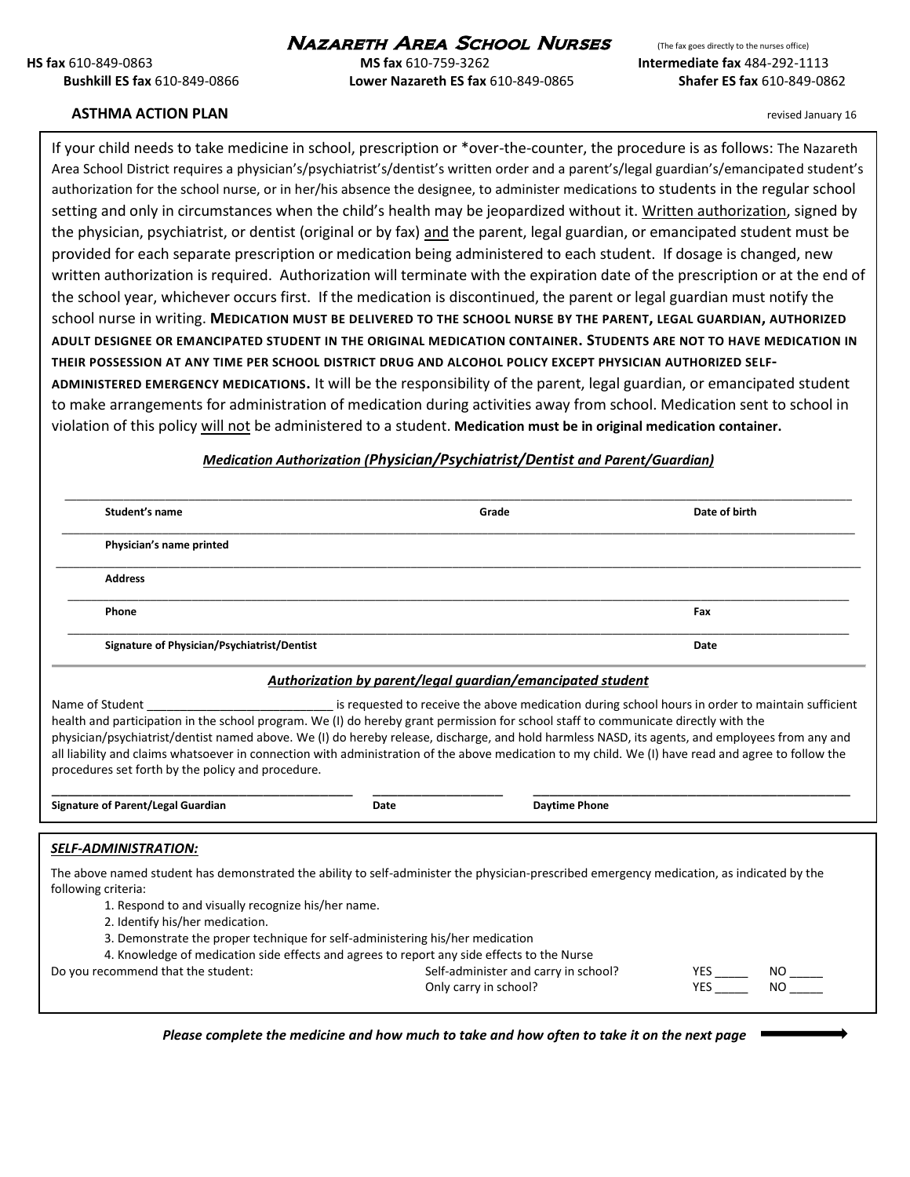# **NAZARETH AREA SCHOOL NURSES** (The fax goes directly to the nurses office)

**HS fax** 610-849-0863 **MS fax** 610-759-3262 **Intermediate fax** 484-292-1113 **Bushkill ES fax** 610-849-0866 **Lower Nazareth ES fax** 610-849-0865 **Shafer ES fax** 610-849-0862

#### **ASTHMA ACTION PLAN** *READINGLUARE ACTION PLAN READINGLUARE ACTION PLAN* **<b>***READINGLUARE ACTION PLAN READINGLUARE ACTION PLAN*

If your child needs to take medicine in school, prescription or \*over-the-counter, the procedure is as follows: The Nazareth Area School District requires a physician's/psychiatrist's/dentist's written order and a parent's/legal guardian's/emancipated student's authorization for the school nurse, or in her/his absence the designee, to administer medications to students in the regular school setting and only in circumstances when the child's health may be jeopardized without it. Written authorization, signed by the physician, psychiatrist, or dentist (original or by fax) and the parent, legal guardian, or emancipated student must be provided for each separate prescription or medication being administered to each student. If dosage is changed, new written authorization is required. Authorization will terminate with the expiration date of the prescription or at the end of the school year, whichever occurs first. If the medication is discontinued, the parent or legal guardian must notify the school nurse in writing. **MEDICATION MUST BE DELIVERED TO THE SCHOOL NURSE BY THE PARENT, LEGAL GUARDIAN, AUTHORIZED ADULT DESIGNEE OR EMANCIPATED STUDENT IN THE ORIGINAL MEDICATION CONTAINER. STUDENTS ARE NOT TO HAVE MEDICATION IN THEIR POSSESSION AT ANY TIME PER SCHOOL DISTRICT DRUG AND ALCOHOL POLICY EXCEPT PHYSICIAN AUTHORIZED SELF-ADMINISTERED EMERGENCY MEDICATIONS.** It will be the responsibility of the parent, legal guardian, or emancipated student to make arrangements for administration of medication during activities away from school. Medication sent to school in violation of this policy will not be administered to a student. **Medication must be in original medication container.**

### *Medication Authorization (Physician/Psychiatrist/Dentist and Parent/Guardian)*

| Student's name                              | Grade | Date of birth |
|---------------------------------------------|-------|---------------|
| Physician's name printed                    |       |               |
| <b>Address</b>                              |       |               |
| Phone                                       |       | Fax           |
| Signature of Physician/Psychiatrist/Dentist |       | Date          |

#### *Authorization by parent/legal guardian/emancipated student*

Name of Student \_\_\_\_\_\_\_\_\_\_\_\_\_\_\_\_\_\_\_\_\_\_\_\_\_\_\_\_ is requested to receive the above medication during school hours in order to maintain sufficient health and participation in the school program. We (I) do hereby grant permission for school staff to communicate directly with the physician/psychiatrist/dentist named above. We (I) do hereby release, discharge, and hold harmless NASD, its agents, and employees from any and all liability and claims whatsoever in connection with administration of the above medication to my child. We (I) have read and agree to follow the procedures set forth by the policy and procedure.

**Signature of Parent/Legal Guardian Date Daytime Phone**

\_\_\_\_\_\_\_\_\_\_\_\_\_\_\_\_\_\_\_\_\_\_\_\_\_\_\_\_\_\_\_\_\_\_\_\_\_ \_\_\_\_\_\_\_\_\_\_\_\_\_\_\_\_ \_\_\_\_\_\_\_\_\_\_\_\_\_\_\_\_\_\_\_\_\_\_\_\_\_\_\_\_\_\_\_\_\_\_\_\_\_\_\_

#### *SELF-ADMINISTRATION:*

The above named student has demonstrated the ability to self-administer the physician-prescribed emergency medication, as indicated by the following criteria:

- 1. Respond to and visually recognize his/her name.
- 2. Identify his/her medication.
- 3. Demonstrate the proper technique for self-administering his/her medication

4. Knowledge of medication side effects and agrees to report any side effects to the Nurse

Do you recommend that the student:  $Self-administer$  and carry in school?  $YES$  NO \_\_\_\_\_\_\_ NO Only carry in school? The MES CONSERVING CONSERVING CONSERVING CONSERVING CONSERVING CONSERVING CONSERVING CON

*Please complete the medicine and how much to take and how often to take it on the next page*